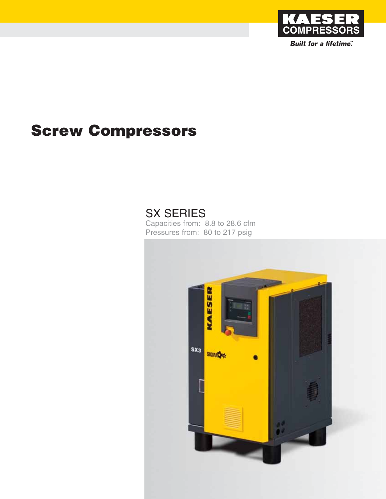

**Built for a lifetime"** 

# **Screw Compressors**

## SX SERIES

Capacities from: 8.8 to 28.6 cfm Pressures from: 80 to 217 psig

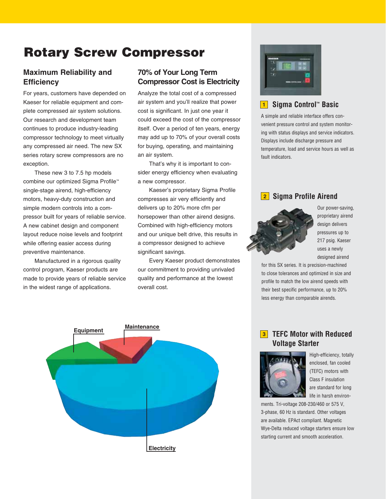### **Rotary Screw Compressor**

#### **Maximum Reliability and Efficiency**

For years, customers have depended on Kaeser for reliable equipment and complete compressed air system solutions. Our research and development team continues to produce industry-leading compressor technology to meet virtually any compressed air need. The new SX series rotary screw compressors are no exception.

These new 3 to 7.5 hp models combine our optimized Sigma Profile™ single-stage airend, high-efficiency motors, heavy-duty construction and simple modern controls into a compressor built for years of reliable service. A new cabinet design and component layout reduce noise levels and footprint while offering easier access during preventive maintenance.

Manufactured in a rigorous quality control program, Kaeser products are made to provide years of reliable service in the widest range of applications.

### **70% of Your Long Term Compressor Cost is Electricity**

Analyze the total cost of a compressed air system and you'll realize that power cost is significant. In just one year it could exceed the cost of the compressor itself. Over a period of ten years, energy may add up to 70% of your overall costs for buying, operating, and maintaining an air system.

That's why it is important to consider energy efficiency when evaluating a new compressor.

Kaeser's proprietary Sigma Profile compresses air very efficiently and delivers up to 20% more cfm per horsepower than other airend designs. Combined with high-efficiency motors and our unique belt drive, this results in a compressor designed to achieve significant savings.

Every Kaeser product demonstrates our commitment to providing unrivaled quality and performance at the lowest overall cost.





#### **Sigma Control™ Basic 1**

A simple and reliable interface offers convenient pressure control and system monitoring with status displays and service indicators. Displays include discharge pressure and temperature, load and service hours as well as fault indicators.

#### **Sigma Profile Airend 2**



Our power-saving, proprietary airend design delivers pressures up to 217 psig. Kaeser uses a newly designed airend

for this SX series. It is precision-machined to close tolerances and optimized in size and profile to match the low airend speeds with their best specific performance, up to 20% less energy than comparable airends.

#### **TEFC Motor with Reduced 3 Voltage Starter**



High-efficiency, totally enclosed, fan cooled (TEFC) motors with Class F insulation are standard for long life in harsh environ-

ments. Tri-voltage 208-230/460 or 575 V, 3-phase, 60 Hz is standard. Other voltages are available. EPAct compliant. Magnetic Wye-Delta reduced voltage starters ensure low starting current and smooth acceleration.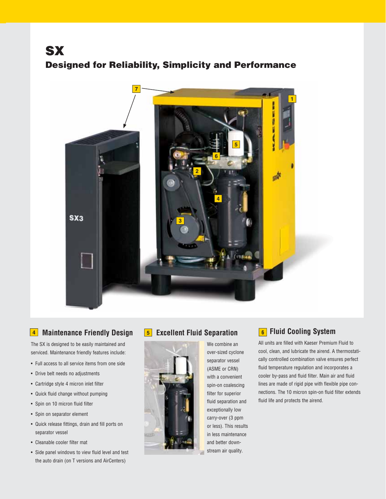### **SX Designed for Reliability, Simplicity and Performance**



### **Maintenance Friendly Design 5 4 Fluid Cooling System**

The SX is designed to be easily maintained and serviced. Maintenance friendly features include:

- Full access to all service items from one side
- Drive belt needs no adjustments
- Cartridge style 4 micron inlet filter
- Quick fluid change without pumping
- Spin on 10 micron fluid filter
- Spin on separator element
- Quick release fittings, drain and fill ports on separator vessel
- Cleanable cooler filter mat
- Side panel windows to view fluid level and test the auto drain (on T versions and AirCenters)

#### **EXCELLENT Fluid Separation**



separator vessel (ASME or CRN) with a convenient spin-on coalescing filter for superior fluid separation and exceptionally low carry-over (3 ppm or less). This results in less maintenance and better downstream air quality.

We combine an over-sized cyclone

#### **6** Fluid Cooling System

All units are filled with Kaeser Premium Fluid to cool, clean, and lubricate the airend. A thermostatically controlled combination valve ensures perfect fluid temperature regulation and incorporates a cooler by-pass and fluid filter. Main air and fluid lines are made of rigid pipe with flexible pipe connections. The 10 micron spin-on fluid filter extends fluid life and protects the airend.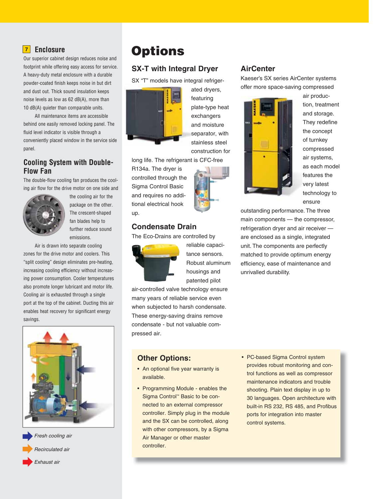#### **<u>Z</u>** Enclosure

Our superior cabinet design reduces noise and footprint while offering easy access for service. A heavy-duty metal enclosure with a durable powder-coated finish keeps noise in but dirt and dust out. Thick sound insulation keeps noise levels as low as 62 dB(A), more than 10 dB(A) quieter than comparable units.

All maintenance items are accessible behind one easily removed locking panel. The fluid level indicator is visible through a conveniently placed window in the service side panel.

#### **Cooling System with Double-Flow Fan**

The double-flow cooling fan produces the cooling air flow for the drive motor on one side and



the cooling air for the package on the other. The crescent-shaped fan blades help to further reduce sound emissions.

Air is drawn into separate cooling zones for the drive motor and coolers. This "split cooling" design eliminates pre-heating, increasing cooling efficiency without increasing power consumption. Cooler temperatures also promote longer lubricant and motor life. Cooling air is exhausted through a single port at the top of the cabinet. Ducting this air enables heat recovery for significant energy savings.





### **<sup>7</sup> Options**

#### **SX-T with Integral Dryer**

SX "T" models have integral refriger-



ated dryers, featuring plate-type heat exchangers and moisture separator, with stainless steel construction for

long life. The refrigerant is CFC-free

R134a. The dryer is controlled through the Sigma Control Basic and requires no additional electrical hook up.

#### **Condensate Drain**

The Eco-Drains are controlled by



reliable capacitance sensors. Robust aluminum housings and patented pilot

air-controlled valve technology ensure many years of reliable service even when subjected to harsh condensate. These energy-saving drains remove condensate - but not valuable compressed air.

#### **Other Options:**

- An optional five year warranty is available.
- Programming Module enables the Sigma Control™ Basic to be connected to an external compressor controller. Simply plug in the module and the SX can be controlled, along with other compressors, by a Sigma Air Manager or other master controller.

#### **AirCenter**

Kaeser's SX series AirCenter systems offer more space-saving compressed



air production, treatment and storage. They redefine the concept of turnkey compressed air systems, as each model features the very latest technology to ensure

outstanding performance. The three main components — the compressor, refrigeration dryer and air receiver are enclosed as a single, integrated unit. The components are perfectly matched to provide optimum energy efficiency, ease of maintenance and unrivalled durability.

• PC-based Sigma Control system provides robust monitoring and control functions as well as compressor maintenance indicators and trouble shooting. Plain text display in up to 30 languages. Open architecture with built-in RS 232, RS 485, and Profibus ports for integration into master control systems.

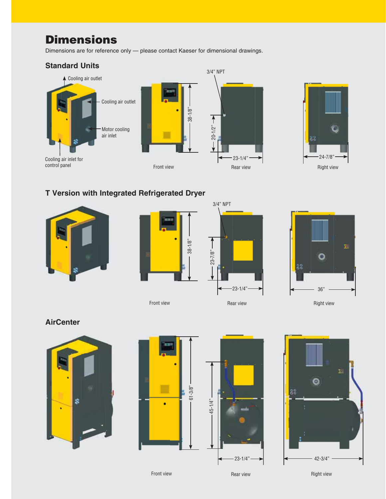### **Dimensions**

Dimensions are for reference only — please contact Kaeser for dimensional drawings.



#### **T Version with Integrated Refrigerated Dryer**









**AirCenter**









Front view

Rear view

Right view